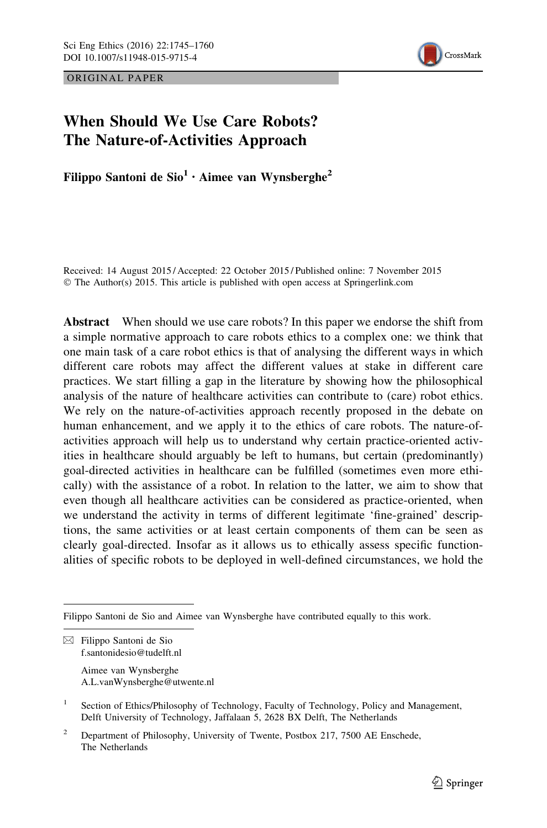ORIGINAL PAPER



# When Should We Use Care Robots? The Nature-of-Activities Approach

Filippo Santoni de Sio<sup>1</sup> · Aimee van Wynsberghe<sup>2</sup>

Received: 14 August 2015 / Accepted: 22 October 2015 / Published online: 7 November 2015 © The Author(s) 2015. This article is published with open access at Springerlink.com

Abstract When should we use care robots? In this paper we endorse the shift from a simple normative approach to care robots ethics to a complex one: we think that one main task of a care robot ethics is that of analysing the different ways in which different care robots may affect the different values at stake in different care practices. We start filling a gap in the literature by showing how the philosophical analysis of the nature of healthcare activities can contribute to (care) robot ethics. We rely on the nature-of-activities approach recently proposed in the debate on human enhancement, and we apply it to the ethics of care robots. The nature-ofactivities approach will help us to understand why certain practice-oriented activities in healthcare should arguably be left to humans, but certain (predominantly) goal-directed activities in healthcare can be fulfilled (sometimes even more ethically) with the assistance of a robot. In relation to the latter, we aim to show that even though all healthcare activities can be considered as practice-oriented, when we understand the activity in terms of different legitimate 'fine-grained' descriptions, the same activities or at least certain components of them can be seen as clearly goal-directed. Insofar as it allows us to ethically assess specific functionalities of specific robots to be deployed in well-defined circumstances, we hold the

 $\boxtimes$  Filippo Santoni de Sio f.santonidesio@tudelft.nl Aimee van Wynsberghe A.L.vanWynsberghe@utwente.nl

<sup>2</sup> Department of Philosophy, University of Twente, Postbox 217, 7500 AE Enschede, The Netherlands

Filippo Santoni de Sio and Aimee van Wynsberghe have contributed equally to this work.

<sup>&</sup>lt;sup>1</sup> Section of Ethics/Philosophy of Technology, Faculty of Technology, Policy and Management, Delft University of Technology, Jaffalaan 5, 2628 BX Delft, The Netherlands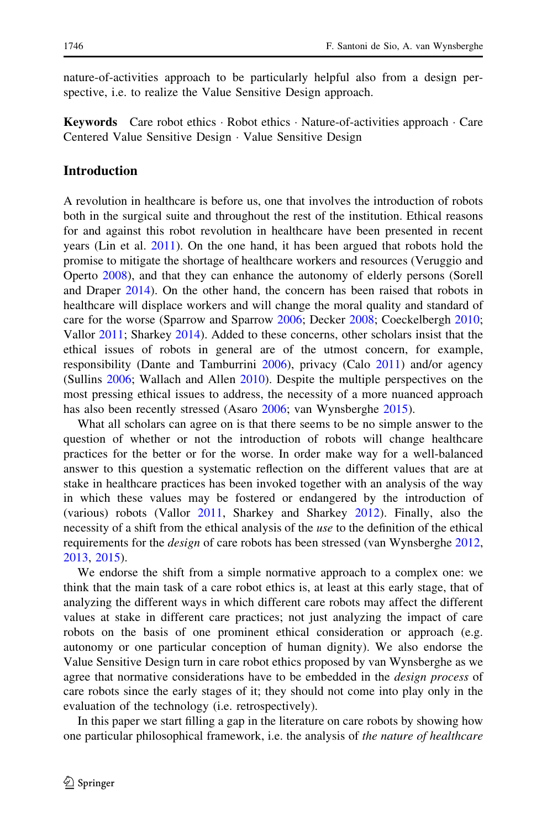<span id="page-1-0"></span>nature-of-activities approach to be particularly helpful also from a design perspective, i.e. to realize the Value Sensitive Design approach.

Keywords Care robot ethics · Robot ethics · Nature-of-activities approach · Care Centered Value Sensitive Design - Value Sensitive Design

### Introduction

A revolution in healthcare is before us, one that involves the introduction of robots both in the surgical suite and throughout the rest of the institution. Ethical reasons for and against this robot revolution in healthcare have been presented in recent years (Lin et al. [2011](#page-14-0)). On the one hand, it has been argued that robots hold the promise to mitigate the shortage of healthcare workers and resources (Veruggio and Operto [2008](#page-15-0)), and that they can enhance the autonomy of elderly persons (Sorell and Draper [2014\)](#page-14-0). On the other hand, the concern has been raised that robots in healthcare will displace workers and will change the moral quality and standard of care for the worse (Sparrow and Sparrow [2006;](#page-15-0) Decker [2008;](#page-14-0) Coeckelbergh [2010;](#page-14-0) Vallor [2011;](#page-15-0) Sharkey [2014](#page-14-0)). Added to these concerns, other scholars insist that the ethical issues of robots in general are of the utmost concern, for example, responsibility (Dante and Tamburrini [2006\)](#page-14-0), privacy (Calo [2011](#page-14-0)) and/or agency (Sullins [2006;](#page-15-0) Wallach and Allen [2010\)](#page-15-0). Despite the multiple perspectives on the most pressing ethical issues to address, the necessity of a more nuanced approach has also been recently stressed (Asaro [2006](#page-14-0); van Wynsberghe [2015](#page-15-0)).

What all scholars can agree on is that there seems to be no simple answer to the question of whether or not the introduction of robots will change healthcare practices for the better or for the worse. In order make way for a well-balanced answer to this question a systematic reflection on the different values that are at stake in healthcare practices has been invoked together with an analysis of the way in which these values may be fostered or endangered by the introduction of (various) robots (Vallor [2011,](#page-15-0) Sharkey and Sharkey [2012](#page-14-0)). Finally, also the necessity of a shift from the ethical analysis of the use to the definition of the ethical requirements for the *design* of care robots has been stressed (van Wynsberghe [2012,](#page-15-0) [2013,](#page-15-0) [2015\)](#page-15-0).

We endorse the shift from a simple normative approach to a complex one: we think that the main task of a care robot ethics is, at least at this early stage, that of analyzing the different ways in which different care robots may affect the different values at stake in different care practices; not just analyzing the impact of care robots on the basis of one prominent ethical consideration or approach (e.g. autonomy or one particular conception of human dignity). We also endorse the Value Sensitive Design turn in care robot ethics proposed by van Wynsberghe as we agree that normative considerations have to be embedded in the *design process* of care robots since the early stages of it; they should not come into play only in the evaluation of the technology (i.e. retrospectively).

In this paper we start filling a gap in the literature on care robots by showing how one particular philosophical framework, i.e. the analysis of the nature of healthcare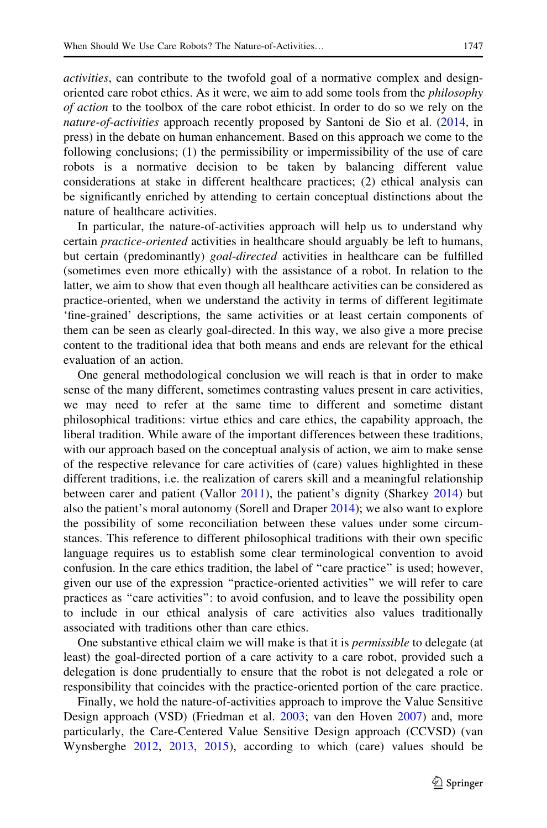activities, can contribute to the twofold goal of a normative complex and designoriented care robot ethics. As it were, we aim to add some tools from the philosophy of action to the toolbox of the care robot ethicist. In order to do so we rely on the nature-of-activities approach recently proposed by Santoni de Sio et al. [\(2014](#page-14-0), in press) in the debate on human enhancement. Based on this approach we come to the following conclusions; (1) the permissibility or impermissibility of the use of care robots is a normative decision to be taken by balancing different value considerations at stake in different healthcare practices; (2) ethical analysis can be significantly enriched by attending to certain conceptual distinctions about the nature of healthcare activities.

In particular, the nature-of-activities approach will help us to understand why certain *practice-oriented* activities in healthcare should arguably be left to humans, but certain (predominantly) *goal-directed* activities in healthcare can be fulfilled (sometimes even more ethically) with the assistance of a robot. In relation to the latter, we aim to show that even though all healthcare activities can be considered as practice-oriented, when we understand the activity in terms of different legitimate 'fine-grained' descriptions, the same activities or at least certain components of them can be seen as clearly goal-directed. In this way, we also give a more precise content to the traditional idea that both means and ends are relevant for the ethical evaluation of an action.

One general methodological conclusion we will reach is that in order to make sense of the many different, sometimes contrasting values present in care activities, we may need to refer at the same time to different and sometime distant philosophical traditions: virtue ethics and care ethics, the capability approach, the liberal tradition. While aware of the important differences between these traditions, with our approach based on the conceptual analysis of action, we aim to make sense of the respective relevance for care activities of (care) values highlighted in these different traditions, i.e. the realization of carers skill and a meaningful relationship between carer and patient (Vallor [2011](#page-15-0)), the patient's dignity (Sharkey [2014\)](#page-14-0) but also the patient's moral autonomy (Sorell and Draper [2014](#page-14-0)); we also want to explore the possibility of some reconciliation between these values under some circumstances. This reference to different philosophical traditions with their own specific language requires us to establish some clear terminological convention to avoid confusion. In the care ethics tradition, the label of ''care practice'' is used; however, given our use of the expression ''practice-oriented activities'' we will refer to care practices as ''care activities'': to avoid confusion, and to leave the possibility open to include in our ethical analysis of care activities also values traditionally associated with traditions other than care ethics.

One substantive ethical claim we will make is that it is *permissible* to delegate (at least) the goal-directed portion of a care activity to a care robot, provided such a delegation is done prudentially to ensure that the robot is not delegated a role or responsibility that coincides with the practice-oriented portion of the care practice.

Finally, we hold the nature-of-activities approach to improve the Value Sensitive Design approach (VSD) (Friedman et al. [2003](#page-14-0); van den Hoven [2007](#page-15-0)) and, more particularly, the Care-Centered Value Sensitive Design approach (CCVSD) (van Wynsberghe [2012](#page-15-0), [2013,](#page-15-0) [2015](#page-15-0)), according to which (care) values should be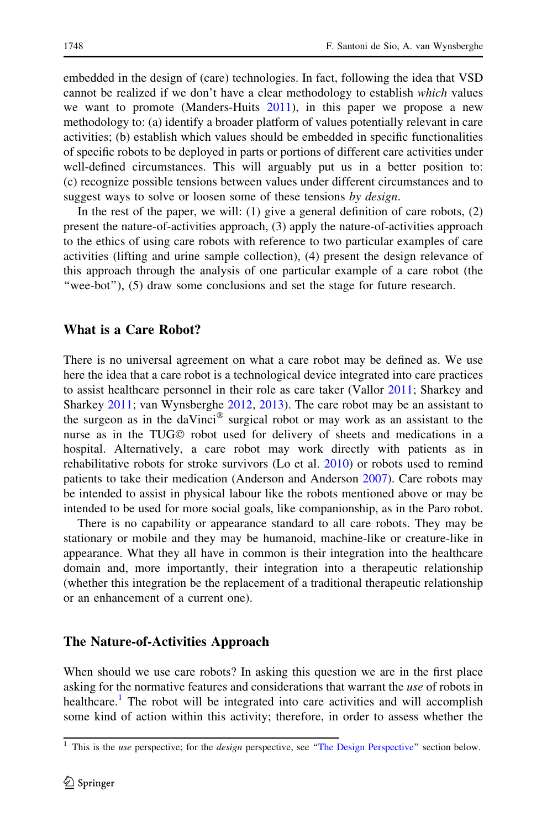embedded in the design of (care) technologies. In fact, following the idea that VSD cannot be realized if we don't have a clear methodology to establish which values we want to promote (Manders-Huits [2011](#page-14-0)), in this paper we propose a new methodology to: (a) identify a broader platform of values potentially relevant in care activities; (b) establish which values should be embedded in specific functionalities of specific robots to be deployed in parts or portions of different care activities under well-defined circumstances. This will arguably put us in a better position to: (c) recognize possible tensions between values under different circumstances and to suggest ways to solve or loosen some of these tensions by *design*.

In the rest of the paper, we will: (1) give a general definition of care robots, (2) present the nature-of-activities approach, (3) apply the nature-of-activities approach to the ethics of using care robots with reference to two particular examples of care activities (lifting and urine sample collection), (4) present the design relevance of this approach through the analysis of one particular example of a care robot (the "wee-bot"), (5) draw some conclusions and set the stage for future research.

## What is a Care Robot?

There is no universal agreement on what a care robot may be defined as. We use here the idea that a care robot is a technological device integrated into care practices to assist healthcare personnel in their role as care taker (Vallor [2011;](#page-15-0) Sharkey and Sharkey [2011;](#page-14-0) van Wynsberghe [2012,](#page-15-0) [2013](#page-15-0)). The care robot may be an assistant to the surgeon as in the daVinci $^{\circledR}$  surgical robot or may work as an assistant to the nurse as in the TUG© robot used for delivery of sheets and medications in a hospital. Alternatively, a care robot may work directly with patients as in rehabilitative robots for stroke survivors (Lo et al. [2010\)](#page-14-0) or robots used to remind patients to take their medication (Anderson and Anderson [2007](#page-14-0)). Care robots may be intended to assist in physical labour like the robots mentioned above or may be intended to be used for more social goals, like companionship, as in the Paro robot.

There is no capability or appearance standard to all care robots. They may be stationary or mobile and they may be humanoid, machine-like or creature-like in appearance. What they all have in common is their integration into the healthcare domain and, more importantly, their integration into a therapeutic relationship (whether this integration be the replacement of a traditional therapeutic relationship or an enhancement of a current one).

#### The Nature-of-Activities Approach

When should we use care robots? In asking this question we are in the first place asking for the normative features and considerations that warrant the use of robots in healthcare.<sup>1</sup> The robot will be integrated into care activities and will accomplish some kind of action within this activity; therefore, in order to assess whether the

<sup>&</sup>lt;sup>1</sup> This is the *use* perspective; for the *design* perspective, see "The Design Perspective" section below.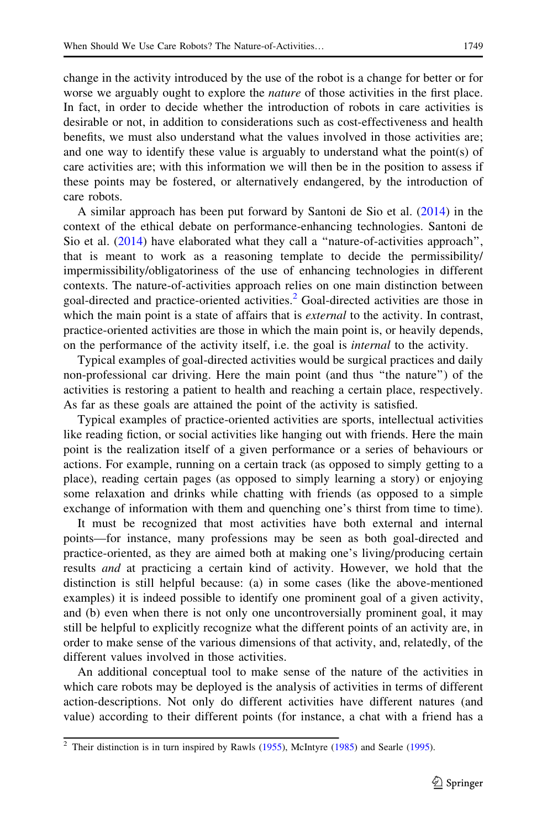change in the activity introduced by the use of the robot is a change for better or for worse we arguably ought to explore the *nature* of those activities in the first place. In fact, in order to decide whether the introduction of robots in care activities is desirable or not, in addition to considerations such as cost-effectiveness and health benefits, we must also understand what the values involved in those activities are; and one way to identify these value is arguably to understand what the point(s) of care activities are; with this information we will then be in the position to assess if these points may be fostered, or alternatively endangered, by the introduction of care robots.

A similar approach has been put forward by Santoni de Sio et al. [\(2014](#page-14-0)) in the context of the ethical debate on performance-enhancing technologies. Santoni de Sio et al. ([2014\)](#page-14-0) have elaborated what they call a ''nature-of-activities approach'', that is meant to work as a reasoning template to decide the permissibility/ impermissibility/obligatoriness of the use of enhancing technologies in different contexts. The nature-of-activities approach relies on one main distinction between goal-directed and practice-oriented activities.<sup>2</sup> Goal-directed activities are those in which the main point is a state of affairs that is *external* to the activity. In contrast, practice-oriented activities are those in which the main point is, or heavily depends, on the performance of the activity itself, i.e. the goal is internal to the activity.

Typical examples of goal-directed activities would be surgical practices and daily non-professional car driving. Here the main point (and thus ''the nature'') of the activities is restoring a patient to health and reaching a certain place, respectively. As far as these goals are attained the point of the activity is satisfied.

Typical examples of practice-oriented activities are sports, intellectual activities like reading fiction, or social activities like hanging out with friends. Here the main point is the realization itself of a given performance or a series of behaviours or actions. For example, running on a certain track (as opposed to simply getting to a place), reading certain pages (as opposed to simply learning a story) or enjoying some relaxation and drinks while chatting with friends (as opposed to a simple exchange of information with them and quenching one's thirst from time to time).

It must be recognized that most activities have both external and internal points—for instance, many professions may be seen as both goal-directed and practice-oriented, as they are aimed both at making one's living/producing certain results and at practicing a certain kind of activity. However, we hold that the distinction is still helpful because: (a) in some cases (like the above-mentioned examples) it is indeed possible to identify one prominent goal of a given activity, and (b) even when there is not only one uncontroversially prominent goal, it may still be helpful to explicitly recognize what the different points of an activity are, in order to make sense of the various dimensions of that activity, and, relatedly, of the different values involved in those activities.

An additional conceptual tool to make sense of the nature of the activities in which care robots may be deployed is the analysis of activities in terms of different action-descriptions. Not only do different activities have different natures (and value) according to their different points (for instance, a chat with a friend has a

<sup>&</sup>lt;sup>2</sup> Their distinction is in turn inspired by Rawls ([1955\)](#page-14-0), McIntyre ([1985\)](#page-14-0) and Searle [\(1995](#page-14-0)).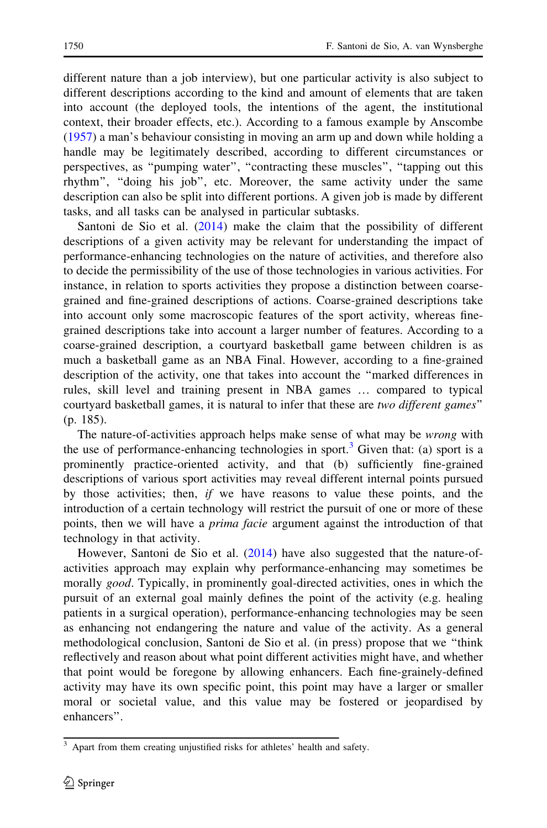different nature than a job interview), but one particular activity is also subject to different descriptions according to the kind and amount of elements that are taken into account (the deployed tools, the intentions of the agent, the institutional context, their broader effects, etc.). According to a famous example by Anscombe [\(1957](#page-14-0)) a man's behaviour consisting in moving an arm up and down while holding a handle may be legitimately described, according to different circumstances or perspectives, as ''pumping water'', ''contracting these muscles'', ''tapping out this rhythm'', ''doing his job'', etc. Moreover, the same activity under the same description can also be split into different portions. A given job is made by different tasks, and all tasks can be analysed in particular subtasks.

Santoni de Sio et al.  $(2014)$  $(2014)$  make the claim that the possibility of different descriptions of a given activity may be relevant for understanding the impact of performance-enhancing technologies on the nature of activities, and therefore also to decide the permissibility of the use of those technologies in various activities. For instance, in relation to sports activities they propose a distinction between coarsegrained and fine-grained descriptions of actions. Coarse-grained descriptions take into account only some macroscopic features of the sport activity, whereas finegrained descriptions take into account a larger number of features. According to a coarse-grained description, a courtyard basketball game between children is as much a basketball game as an NBA Final. However, according to a fine-grained description of the activity, one that takes into account the ''marked differences in rules, skill level and training present in NBA games … compared to typical courtyard basketball games, it is natural to infer that these are two different games" (p. 185).

The nature-of-activities approach helps make sense of what may be wrong with the use of performance-enhancing technologies in sport.<sup>3</sup> Given that: (a) sport is a prominently practice-oriented activity, and that (b) sufficiently fine-grained descriptions of various sport activities may reveal different internal points pursued by those activities; then,  $if$  we have reasons to value these points, and the introduction of a certain technology will restrict the pursuit of one or more of these points, then we will have a prima facie argument against the introduction of that technology in that activity.

However, Santoni de Sio et al. [\(2014](#page-14-0)) have also suggested that the nature-ofactivities approach may explain why performance-enhancing may sometimes be morally *good*. Typically, in prominently goal-directed activities, ones in which the pursuit of an external goal mainly defines the point of the activity (e.g. healing patients in a surgical operation), performance-enhancing technologies may be seen as enhancing not endangering the nature and value of the activity. As a general methodological conclusion, Santoni de Sio et al. (in press) propose that we ''think reflectively and reason about what point different activities might have, and whether that point would be foregone by allowing enhancers. Each fine-grainely-defined activity may have its own specific point, this point may have a larger or smaller moral or societal value, and this value may be fostered or jeopardised by enhancers''.

<sup>3</sup> Apart from them creating unjustified risks for athletes' health and safety.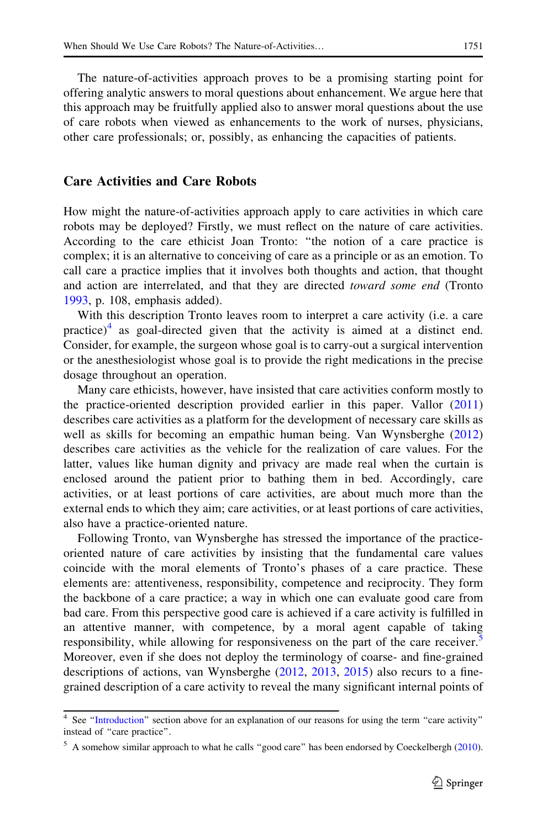The nature-of-activities approach proves to be a promising starting point for offering analytic answers to moral questions about enhancement. We argue here that this approach may be fruitfully applied also to answer moral questions about the use of care robots when viewed as enhancements to the work of nurses, physicians, other care professionals; or, possibly, as enhancing the capacities of patients.

#### Care Activities and Care Robots

How might the nature-of-activities approach apply to care activities in which care robots may be deployed? Firstly, we must reflect on the nature of care activities. According to the care ethicist Joan Tronto: ''the notion of a care practice is complex; it is an alternative to conceiving of care as a principle or as an emotion. To call care a practice implies that it involves both thoughts and action, that thought and action are interrelated, and that they are directed *toward some end* (Tronto [1993,](#page-15-0) p. 108, emphasis added).

With this description Tronto leaves room to interpret a care activity (i.e. a care practice)<sup>4</sup> as goal-directed given that the activity is aimed at a distinct end. Consider, for example, the surgeon whose goal is to carry-out a surgical intervention or the anesthesiologist whose goal is to provide the right medications in the precise dosage throughout an operation.

Many care ethicists, however, have insisted that care activities conform mostly to the practice-oriented description provided earlier in this paper. Vallor [\(2011](#page-15-0)) describes care activities as a platform for the development of necessary care skills as well as skills for becoming an empathic human being. Van Wynsberghe [\(2012](#page-15-0)) describes care activities as the vehicle for the realization of care values. For the latter, values like human dignity and privacy are made real when the curtain is enclosed around the patient prior to bathing them in bed. Accordingly, care activities, or at least portions of care activities, are about much more than the external ends to which they aim; care activities, or at least portions of care activities, also have a practice-oriented nature.

Following Tronto, van Wynsberghe has stressed the importance of the practiceoriented nature of care activities by insisting that the fundamental care values coincide with the moral elements of Tronto's phases of a care practice. These elements are: attentiveness, responsibility, competence and reciprocity. They form the backbone of a care practice; a way in which one can evaluate good care from bad care. From this perspective good care is achieved if a care activity is fulfilled in an attentive manner, with competence, by a moral agent capable of taking responsibility, while allowing for responsiveness on the part of the care receiver.<sup>5</sup> Moreover, even if she does not deploy the terminology of coarse- and fine-grained descriptions of actions, van Wynsberghe [\(2012](#page-15-0), [2013](#page-15-0), [2015](#page-15-0)) also recurs to a finegrained description of a care activity to reveal the many significant internal points of

<sup>&</sup>lt;sup>4</sup> See "Introduction" section above for an explanation of our reasons for using the term "care activity" instead of ''care practice''.

 $<sup>5</sup>$  A somehow similar approach to what he calls "good care" has been endorsed by Coeckelbergh ([2010\)](#page-14-0).</sup>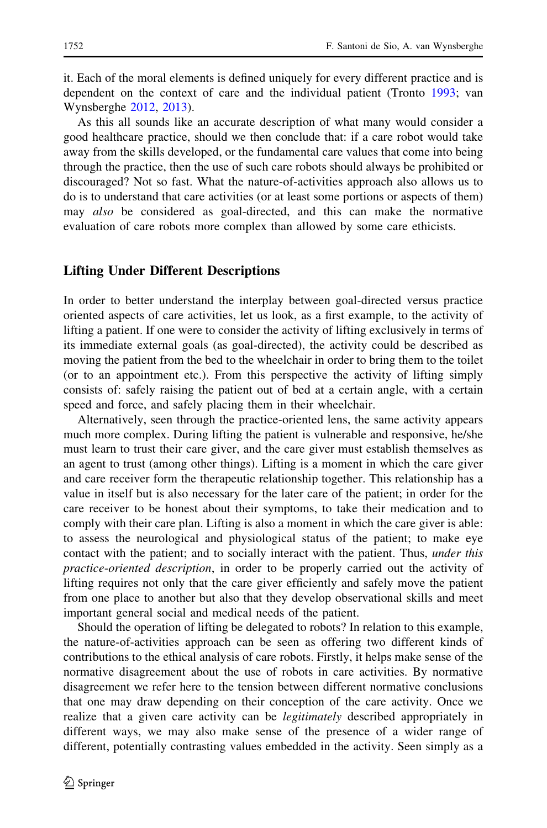it. Each of the moral elements is defined uniquely for every different practice and is dependent on the context of care and the individual patient (Tronto [1993](#page-15-0); van Wynsberghe [2012,](#page-15-0) [2013\)](#page-15-0).

As this all sounds like an accurate description of what many would consider a good healthcare practice, should we then conclude that: if a care robot would take away from the skills developed, or the fundamental care values that come into being through the practice, then the use of such care robots should always be prohibited or discouraged? Not so fast. What the nature-of-activities approach also allows us to do is to understand that care activities (or at least some portions or aspects of them) may *also* be considered as goal-directed, and this can make the normative evaluation of care robots more complex than allowed by some care ethicists.

#### Lifting Under Different Descriptions

In order to better understand the interplay between goal-directed versus practice oriented aspects of care activities, let us look, as a first example, to the activity of lifting a patient. If one were to consider the activity of lifting exclusively in terms of its immediate external goals (as goal-directed), the activity could be described as moving the patient from the bed to the wheelchair in order to bring them to the toilet (or to an appointment etc.). From this perspective the activity of lifting simply consists of: safely raising the patient out of bed at a certain angle, with a certain speed and force, and safely placing them in their wheelchair.

Alternatively, seen through the practice-oriented lens, the same activity appears much more complex. During lifting the patient is vulnerable and responsive, he/she must learn to trust their care giver, and the care giver must establish themselves as an agent to trust (among other things). Lifting is a moment in which the care giver and care receiver form the therapeutic relationship together. This relationship has a value in itself but is also necessary for the later care of the patient; in order for the care receiver to be honest about their symptoms, to take their medication and to comply with their care plan. Lifting is also a moment in which the care giver is able: to assess the neurological and physiological status of the patient; to make eye contact with the patient; and to socially interact with the patient. Thus, under this practice-oriented description, in order to be properly carried out the activity of lifting requires not only that the care giver efficiently and safely move the patient from one place to another but also that they develop observational skills and meet important general social and medical needs of the patient.

Should the operation of lifting be delegated to robots? In relation to this example, the nature-of-activities approach can be seen as offering two different kinds of contributions to the ethical analysis of care robots. Firstly, it helps make sense of the normative disagreement about the use of robots in care activities. By normative disagreement we refer here to the tension between different normative conclusions that one may draw depending on their conception of the care activity. Once we realize that a given care activity can be *legitimately* described appropriately in different ways, we may also make sense of the presence of a wider range of different, potentially contrasting values embedded in the activity. Seen simply as a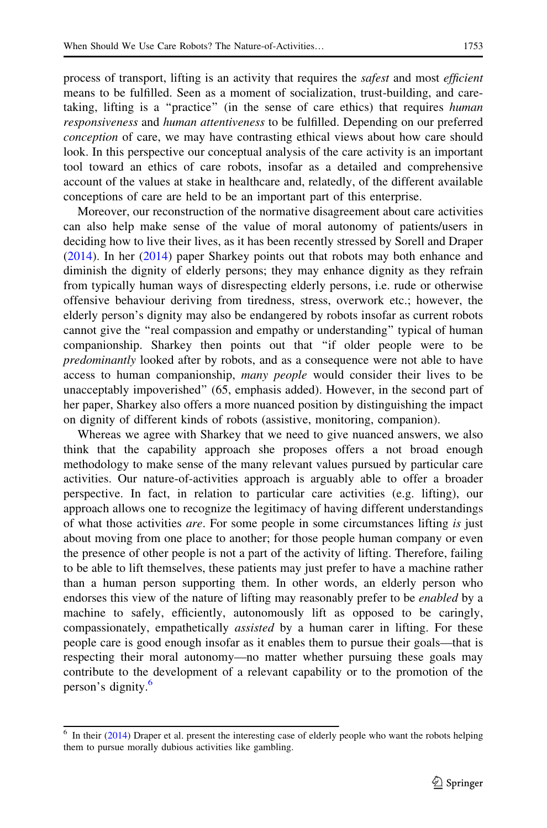process of transport, lifting is an activity that requires the *safest* and most *efficient* means to be fulfilled. Seen as a moment of socialization, trust-building, and caretaking, lifting is a "practice" (in the sense of care ethics) that requires *human* responsiveness and human attentiveness to be fulfilled. Depending on our preferred conception of care, we may have contrasting ethical views about how care should look. In this perspective our conceptual analysis of the care activity is an important tool toward an ethics of care robots, insofar as a detailed and comprehensive account of the values at stake in healthcare and, relatedly, of the different available conceptions of care are held to be an important part of this enterprise.

Moreover, our reconstruction of the normative disagreement about care activities can also help make sense of the value of moral autonomy of patients/users in deciding how to live their lives, as it has been recently stressed by Sorell and Draper [\(2014](#page-14-0)). In her [\(2014](#page-14-0)) paper Sharkey points out that robots may both enhance and diminish the dignity of elderly persons; they may enhance dignity as they refrain from typically human ways of disrespecting elderly persons, i.e. rude or otherwise offensive behaviour deriving from tiredness, stress, overwork etc.; however, the elderly person's dignity may also be endangered by robots insofar as current robots cannot give the ''real compassion and empathy or understanding'' typical of human companionship. Sharkey then points out that ''if older people were to be predominantly looked after by robots, and as a consequence were not able to have access to human companionship, many people would consider their lives to be unacceptably impoverished'' (65, emphasis added). However, in the second part of her paper, Sharkey also offers a more nuanced position by distinguishing the impact on dignity of different kinds of robots (assistive, monitoring, companion).

Whereas we agree with Sharkey that we need to give nuanced answers, we also think that the capability approach she proposes offers a not broad enough methodology to make sense of the many relevant values pursued by particular care activities. Our nature-of-activities approach is arguably able to offer a broader perspective. In fact, in relation to particular care activities (e.g. lifting), our approach allows one to recognize the legitimacy of having different understandings of what those activities are. For some people in some circumstances lifting is just about moving from one place to another; for those people human company or even the presence of other people is not a part of the activity of lifting. Therefore, failing to be able to lift themselves, these patients may just prefer to have a machine rather than a human person supporting them. In other words, an elderly person who endorses this view of the nature of lifting may reasonably prefer to be *enabled* by a machine to safely, efficiently, autonomously lift as opposed to be caringly, compassionately, empathetically *assisted* by a human carer in lifting. For these people care is good enough insofar as it enables them to pursue their goals—that is respecting their moral autonomy—no matter whether pursuing these goals may contribute to the development of a relevant capability or to the promotion of the person's dignity.<sup>6</sup>

 $\overline{6}$  In their ([2014](#page-14-0)) Draper et al. present the interesting case of elderly people who want the robots helping them to pursue morally dubious activities like gambling.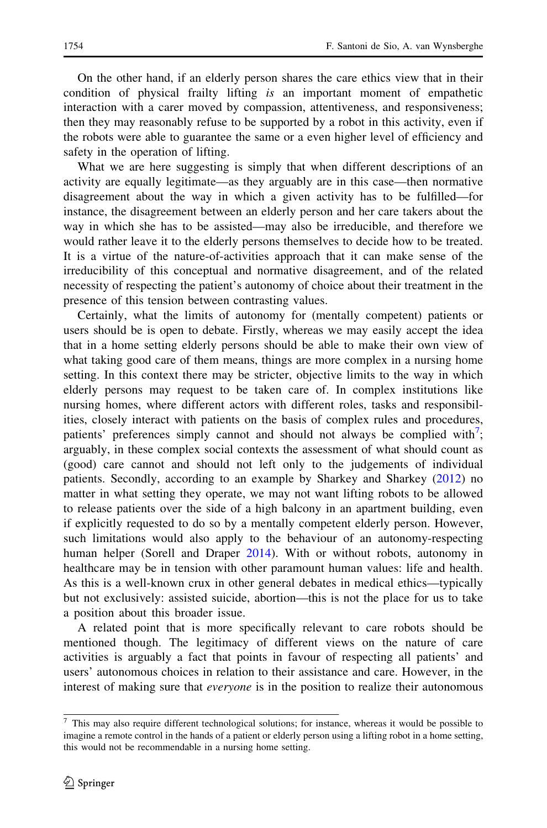On the other hand, if an elderly person shares the care ethics view that in their condition of physical frailty lifting is an important moment of empathetic interaction with a carer moved by compassion, attentiveness, and responsiveness; then they may reasonably refuse to be supported by a robot in this activity, even if the robots were able to guarantee the same or a even higher level of efficiency and safety in the operation of lifting.

What we are here suggesting is simply that when different descriptions of an activity are equally legitimate—as they arguably are in this case—then normative disagreement about the way in which a given activity has to be fulfilled—for instance, the disagreement between an elderly person and her care takers about the way in which she has to be assisted—may also be irreducible, and therefore we would rather leave it to the elderly persons themselves to decide how to be treated. It is a virtue of the nature-of-activities approach that it can make sense of the irreducibility of this conceptual and normative disagreement, and of the related necessity of respecting the patient's autonomy of choice about their treatment in the presence of this tension between contrasting values.

Certainly, what the limits of autonomy for (mentally competent) patients or users should be is open to debate. Firstly, whereas we may easily accept the idea that in a home setting elderly persons should be able to make their own view of what taking good care of them means, things are more complex in a nursing home setting. In this context there may be stricter, objective limits to the way in which elderly persons may request to be taken care of. In complex institutions like nursing homes, where different actors with different roles, tasks and responsibilities, closely interact with patients on the basis of complex rules and procedures, patients' preferences simply cannot and should not always be complied with<sup>7</sup>; arguably, in these complex social contexts the assessment of what should count as (good) care cannot and should not left only to the judgements of individual patients. Secondly, according to an example by Sharkey and Sharkey ([2012\)](#page-14-0) no matter in what setting they operate, we may not want lifting robots to be allowed to release patients over the side of a high balcony in an apartment building, even if explicitly requested to do so by a mentally competent elderly person. However, such limitations would also apply to the behaviour of an autonomy-respecting human helper (Sorell and Draper [2014\)](#page-14-0). With or without robots, autonomy in healthcare may be in tension with other paramount human values: life and health. As this is a well-known crux in other general debates in medical ethics—typically but not exclusively: assisted suicide, abortion—this is not the place for us to take a position about this broader issue.

A related point that is more specifically relevant to care robots should be mentioned though. The legitimacy of different views on the nature of care activities is arguably a fact that points in favour of respecting all patients' and users' autonomous choices in relation to their assistance and care. However, in the interest of making sure that *everyone* is in the position to realize their autonomous

 $7$  This may also require different technological solutions; for instance, whereas it would be possible to imagine a remote control in the hands of a patient or elderly person using a lifting robot in a home setting, this would not be recommendable in a nursing home setting.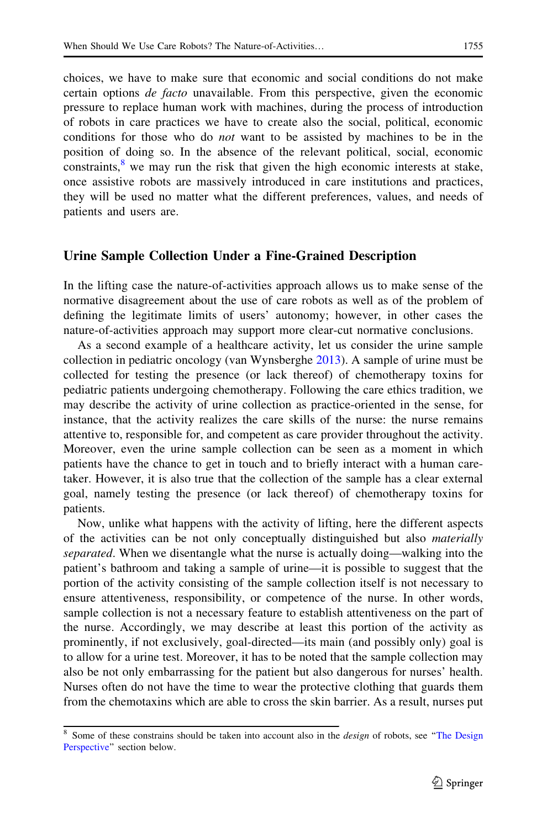choices, we have to make sure that economic and social conditions do not make certain options de facto unavailable. From this perspective, given the economic pressure to replace human work with machines, during the process of introduction of robots in care practices we have to create also the social, political, economic conditions for those who do not want to be assisted by machines to be in the position of doing so. In the absence of the relevant political, social, economic constraints, $\frac{8}{3}$  we may run the risk that given the high economic interests at stake, once assistive robots are massively introduced in care institutions and practices, they will be used no matter what the different preferences, values, and needs of patients and users are.

#### Urine Sample Collection Under a Fine-Grained Description

In the lifting case the nature-of-activities approach allows us to make sense of the normative disagreement about the use of care robots as well as of the problem of defining the legitimate limits of users' autonomy; however, in other cases the nature-of-activities approach may support more clear-cut normative conclusions.

As a second example of a healthcare activity, let us consider the urine sample collection in pediatric oncology (van Wynsberghe [2013](#page-15-0)). A sample of urine must be collected for testing the presence (or lack thereof) of chemotherapy toxins for pediatric patients undergoing chemotherapy. Following the care ethics tradition, we may describe the activity of urine collection as practice-oriented in the sense, for instance, that the activity realizes the care skills of the nurse: the nurse remains attentive to, responsible for, and competent as care provider throughout the activity. Moreover, even the urine sample collection can be seen as a moment in which patients have the chance to get in touch and to briefly interact with a human caretaker. However, it is also true that the collection of the sample has a clear external goal, namely testing the presence (or lack thereof) of chemotherapy toxins for patients.

Now, unlike what happens with the activity of lifting, here the different aspects of the activities can be not only conceptually distinguished but also materially separated. When we disentangle what the nurse is actually doing—walking into the patient's bathroom and taking a sample of urine—it is possible to suggest that the portion of the activity consisting of the sample collection itself is not necessary to ensure attentiveness, responsibility, or competence of the nurse. In other words, sample collection is not a necessary feature to establish attentiveness on the part of the nurse. Accordingly, we may describe at least this portion of the activity as prominently, if not exclusively, goal-directed—its main (and possibly only) goal is to allow for a urine test. Moreover, it has to be noted that the sample collection may also be not only embarrassing for the patient but also dangerous for nurses' health. Nurses often do not have the time to wear the protective clothing that guards them from the chemotaxins which are able to cross the skin barrier. As a result, nurses put

<sup>&</sup>lt;sup>8</sup> Some of these constrains should be taken into account also in the *design* of robots, see "[The Design](#page-11-0) Perspective" section below.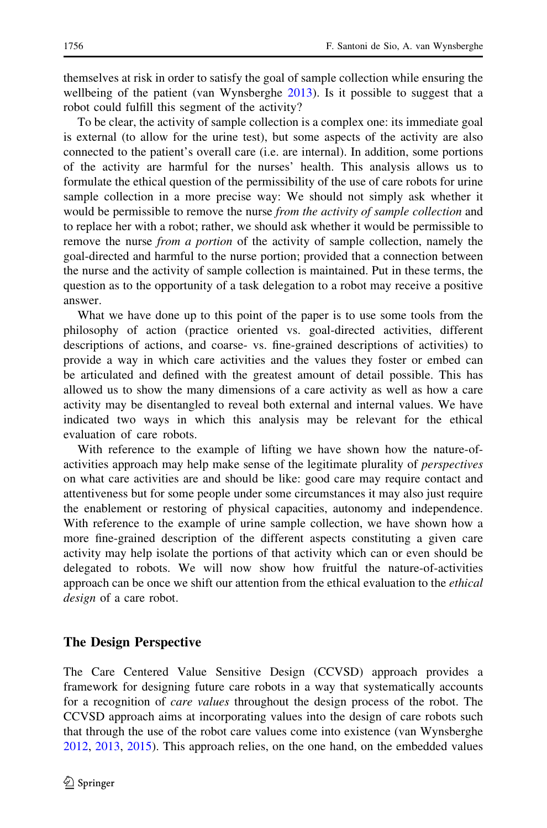<span id="page-11-0"></span>themselves at risk in order to satisfy the goal of sample collection while ensuring the wellbeing of the patient (van Wynsberghe [2013](#page-15-0)). Is it possible to suggest that a robot could fulfill this segment of the activity?

To be clear, the activity of sample collection is a complex one: its immediate goal is external (to allow for the urine test), but some aspects of the activity are also connected to the patient's overall care (i.e. are internal). In addition, some portions of the activity are harmful for the nurses' health. This analysis allows us to formulate the ethical question of the permissibility of the use of care robots for urine sample collection in a more precise way: We should not simply ask whether it would be permissible to remove the nurse *from the activity of sample collection* and to replace her with a robot; rather, we should ask whether it would be permissible to remove the nurse *from a portion* of the activity of sample collection, namely the goal-directed and harmful to the nurse portion; provided that a connection between the nurse and the activity of sample collection is maintained. Put in these terms, the question as to the opportunity of a task delegation to a robot may receive a positive answer.

What we have done up to this point of the paper is to use some tools from the philosophy of action (practice oriented vs. goal-directed activities, different descriptions of actions, and coarse- vs. fine-grained descriptions of activities) to provide a way in which care activities and the values they foster or embed can be articulated and defined with the greatest amount of detail possible. This has allowed us to show the many dimensions of a care activity as well as how a care activity may be disentangled to reveal both external and internal values. We have indicated two ways in which this analysis may be relevant for the ethical evaluation of care robots.

With reference to the example of lifting we have shown how the nature-ofactivities approach may help make sense of the legitimate plurality of perspectives on what care activities are and should be like: good care may require contact and attentiveness but for some people under some circumstances it may also just require the enablement or restoring of physical capacities, autonomy and independence. With reference to the example of urine sample collection, we have shown how a more fine-grained description of the different aspects constituting a given care activity may help isolate the portions of that activity which can or even should be delegated to robots. We will now show how fruitful the nature-of-activities approach can be once we shift our attention from the ethical evaluation to the ethical design of a care robot.

## The Design Perspective

The Care Centered Value Sensitive Design (CCVSD) approach provides a framework for designing future care robots in a way that systematically accounts for a recognition of care values throughout the design process of the robot. The CCVSD approach aims at incorporating values into the design of care robots such that through the use of the robot care values come into existence (van Wynsberghe [2012,](#page-15-0) [2013,](#page-15-0) [2015](#page-15-0)). This approach relies, on the one hand, on the embedded values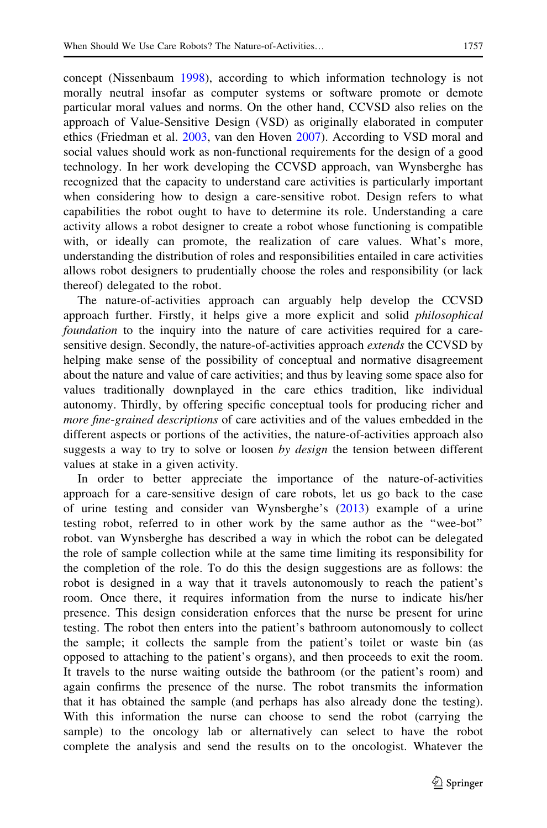concept (Nissenbaum [1998\)](#page-14-0), according to which information technology is not morally neutral insofar as computer systems or software promote or demote particular moral values and norms. On the other hand, CCVSD also relies on the approach of Value-Sensitive Design (VSD) as originally elaborated in computer ethics (Friedman et al. [2003,](#page-14-0) van den Hoven [2007](#page-15-0)). According to VSD moral and social values should work as non-functional requirements for the design of a good technology. In her work developing the CCVSD approach, van Wynsberghe has recognized that the capacity to understand care activities is particularly important when considering how to design a care-sensitive robot. Design refers to what capabilities the robot ought to have to determine its role. Understanding a care activity allows a robot designer to create a robot whose functioning is compatible with, or ideally can promote, the realization of care values. What's more, understanding the distribution of roles and responsibilities entailed in care activities allows robot designers to prudentially choose the roles and responsibility (or lack thereof) delegated to the robot.

The nature-of-activities approach can arguably help develop the CCVSD approach further. Firstly, it helps give a more explicit and solid philosophical foundation to the inquiry into the nature of care activities required for a caresensitive design. Secondly, the nature-of-activities approach extends the CCVSD by helping make sense of the possibility of conceptual and normative disagreement about the nature and value of care activities; and thus by leaving some space also for values traditionally downplayed in the care ethics tradition, like individual autonomy. Thirdly, by offering specific conceptual tools for producing richer and more fine-grained descriptions of care activities and of the values embedded in the different aspects or portions of the activities, the nature-of-activities approach also suggests a way to try to solve or loosen by *design* the tension between different values at stake in a given activity.

In order to better appreciate the importance of the nature-of-activities approach for a care-sensitive design of care robots, let us go back to the case of urine testing and consider van Wynsberghe's [\(2013](#page-15-0)) example of a urine testing robot, referred to in other work by the same author as the ''wee-bot'' robot. van Wynsberghe has described a way in which the robot can be delegated the role of sample collection while at the same time limiting its responsibility for the completion of the role. To do this the design suggestions are as follows: the robot is designed in a way that it travels autonomously to reach the patient's room. Once there, it requires information from the nurse to indicate his/her presence. This design consideration enforces that the nurse be present for urine testing. The robot then enters into the patient's bathroom autonomously to collect the sample; it collects the sample from the patient's toilet or waste bin (as opposed to attaching to the patient's organs), and then proceeds to exit the room. It travels to the nurse waiting outside the bathroom (or the patient's room) and again confirms the presence of the nurse. The robot transmits the information that it has obtained the sample (and perhaps has also already done the testing). With this information the nurse can choose to send the robot (carrying the sample) to the oncology lab or alternatively can select to have the robot complete the analysis and send the results on to the oncologist. Whatever the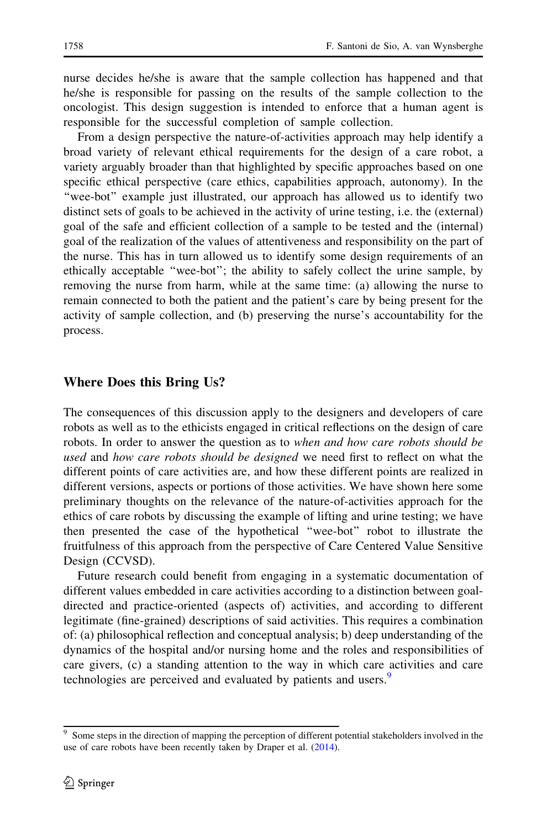nurse decides he/she is aware that the sample collection has happened and that he/she is responsible for passing on the results of the sample collection to the oncologist. This design suggestion is intended to enforce that a human agent is responsible for the successful completion of sample collection.

From a design perspective the nature-of-activities approach may help identify a broad variety of relevant ethical requirements for the design of a care robot, a variety arguably broader than that highlighted by specific approaches based on one specific ethical perspective (care ethics, capabilities approach, autonomy). In the "wee-bot" example just illustrated, our approach has allowed us to identify two distinct sets of goals to be achieved in the activity of urine testing, i.e. the (external) goal of the safe and efficient collection of a sample to be tested and the (internal) goal of the realization of the values of attentiveness and responsibility on the part of the nurse. This has in turn allowed us to identify some design requirements of an ethically acceptable ''wee-bot''; the ability to safely collect the urine sample, by removing the nurse from harm, while at the same time: (a) allowing the nurse to remain connected to both the patient and the patient's care by being present for the activity of sample collection, and (b) preserving the nurse's accountability for the process.

#### Where Does this Bring Us?

The consequences of this discussion apply to the designers and developers of care robots as well as to the ethicists engaged in critical reflections on the design of care robots. In order to answer the question as to when and how care robots should be used and how care robots should be designed we need first to reflect on what the different points of care activities are, and how these different points are realized in different versions, aspects or portions of those activities. We have shown here some preliminary thoughts on the relevance of the nature-of-activities approach for the ethics of care robots by discussing the example of lifting and urine testing; we have then presented the case of the hypothetical ''wee-bot'' robot to illustrate the fruitfulness of this approach from the perspective of Care Centered Value Sensitive Design (CCVSD).

Future research could benefit from engaging in a systematic documentation of different values embedded in care activities according to a distinction between goaldirected and practice-oriented (aspects of) activities, and according to different legitimate (fine-grained) descriptions of said activities. This requires a combination of: (a) philosophical reflection and conceptual analysis; b) deep understanding of the dynamics of the hospital and/or nursing home and the roles and responsibilities of care givers, (c) a standing attention to the way in which care activities and care technologies are perceived and evaluated by patients and users.<sup>9</sup>

 $\frac{9}{9}$  Some steps in the direction of mapping the perception of different potential stakeholders involved in the use of care robots have been recently taken by Draper et al. ([2014\)](#page-14-0).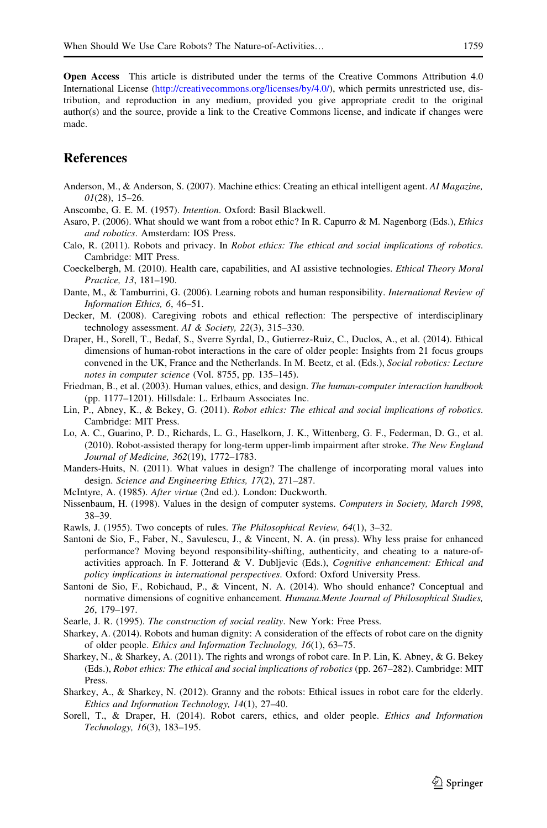<span id="page-14-0"></span>Open Access This article is distributed under the terms of the Creative Commons Attribution 4.0 International License ([http://creativecommons.org/licenses/by/4.0/\)](http://creativecommons.org/licenses/by/4.0/), which permits unrestricted use, distribution, and reproduction in any medium, provided you give appropriate credit to the original author(s) and the source, provide a link to the Creative Commons license, and indicate if changes were made.

### **References**

- Anderson, M., & Anderson, S. (2007). Machine ethics: Creating an ethical intelligent agent. AI Magazine,  $01(28)$ , 15–26.
- Anscombe, G. E. M. (1957). Intention. Oxford: Basil Blackwell.
- Asaro, P. (2006). What should we want from a robot ethic? In R. Capurro & M. Nagenborg (Eds.), Ethics and robotics. Amsterdam: IOS Press.
- Calo, R. (2011). Robots and privacy. In Robot ethics: The ethical and social implications of robotics. Cambridge: MIT Press.
- Coeckelbergh, M. (2010). Health care, capabilities, and AI assistive technologies. Ethical Theory Moral Practice, 13, 181–190.
- Dante, M., & Tamburrini, G. (2006). Learning robots and human responsibility. International Review of Information Ethics, 6, 46–51.
- Decker, M. (2008). Caregiving robots and ethical reflection: The perspective of interdisciplinary technology assessment. AI & Society, 22(3), 315-330.
- Draper, H., Sorell, T., Bedaf, S., Sverre Syrdal, D., Gutierrez-Ruiz, C., Duclos, A., et al. (2014). Ethical dimensions of human-robot interactions in the care of older people: Insights from 21 focus groups convened in the UK, France and the Netherlands. In M. Beetz, et al. (Eds.), Social robotics: Lecture notes in computer science (Vol. 8755, pp. 135–145).
- Friedman, B., et al. (2003). Human values, ethics, and design. The human-computer interaction handbook (pp. 1177–1201). Hillsdale: L. Erlbaum Associates Inc.
- Lin, P., Abney, K., & Bekey, G. (2011). Robot ethics: The ethical and social implications of robotics. Cambridge: MIT Press.
- Lo, A. C., Guarino, P. D., Richards, L. G., Haselkorn, J. K., Wittenberg, G. F., Federman, D. G., et al. (2010). Robot-assisted therapy for long-term upper-limb impairment after stroke. The New England Journal of Medicine, 362(19), 1772–1783.
- Manders-Huits, N. (2011). What values in design? The challenge of incorporating moral values into design. Science and Engineering Ethics, 17(2), 271–287.
- McIntyre, A. (1985). After virtue (2nd ed.). London: Duckworth.
- Nissenbaum, H. (1998). Values in the design of computer systems. Computers in Society, March 1998, 38–39.
- Rawls, J. (1955). Two concepts of rules. The Philosophical Review, 64(1), 3-32.
- Santoni de Sio, F., Faber, N., Savulescu, J., & Vincent, N. A. (in press). Why less praise for enhanced performance? Moving beyond responsibility-shifting, authenticity, and cheating to a nature-ofactivities approach. In F. Jotterand & V. Dubljevic (Eds.), Cognitive enhancement: Ethical and policy implications in international perspectives. Oxford: Oxford University Press.
- Santoni de Sio, F., Robichaud, P., & Vincent, N. A. (2014). Who should enhance? Conceptual and normative dimensions of cognitive enhancement. Humana.Mente Journal of Philosophical Studies, 26, 179–197.
- Searle, J. R. (1995). The construction of social reality. New York: Free Press.
- Sharkey, A. (2014). Robots and human dignity: A consideration of the effects of robot care on the dignity of older people. Ethics and Information Technology, 16(1), 63–75.
- Sharkey, N., & Sharkey, A. (2011). The rights and wrongs of robot care. In P. Lin, K. Abney, & G. Bekey (Eds.), Robot ethics: The ethical and social implications of robotics (pp. 267–282). Cambridge: MIT Press.
- Sharkey, A., & Sharkey, N. (2012). Granny and the robots: Ethical issues in robot care for the elderly. Ethics and Information Technology, 14(1), 27–40.
- Sorell, T., & Draper, H. (2014). Robot carers, ethics, and older people. Ethics and Information Technology, 16(3), 183–195.